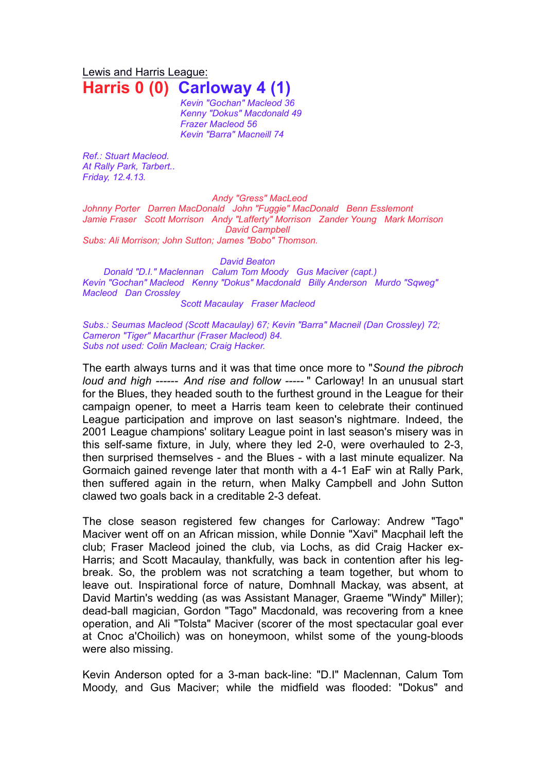Lewis and Harris League: **Harris 0 (0) Carloway 4 (1)**

> *Kevin "Gochan" Macleod 36 Kenny "Dokus" Macdonald 49 Frazer Macleod 56 Kevin "Barra" Macneill 74*

*Ref.: Stuart Macleod. At Rally Park, Tarbert.. Friday, 12.4.13.*

*Andy "Gress" MacLeod Johnny Porter Darren MacDonald John "Fuggie" MacDonald Benn Esslemont Jamie Fraser Scott Morrison Andy "Lafferty" Morrison Zander Young Mark Morrison David Campbell Subs: Ali Morrison; John Sutton; James "Bobo" Thomson.*

*David Beaton*

*Donald "D.I." Maclennan Calum Tom Moody Gus Maciver (capt.) Kevin "Gochan" Macleod Kenny "Dokus" Macdonald Billy Anderson Murdo "Sqweg" Macleod Dan Crossley*

*Scott Macaulay Fraser Macleod*

*Subs.: Seumas Macleod (Scott Macaulay) 67; Kevin "Barra" Macneil (Dan Crossley) 72; Cameron "Tiger" Macarthur (Fraser Macleod) 84. Subs not used: Colin Maclean; Craig Hacker.*

The earth always turns and it was that time once more to "*Sound the pibroch loud and high ------ And rise and follow -----* " Carloway! In an unusual start for the Blues, they headed south to the furthest ground in the League for their campaign opener, to meet a Harris team keen to celebrate their continued League participation and improve on last season's nightmare. Indeed, the 2001 League champions' solitary League point in last season's misery was in this self-same fixture, in July, where they led 2-0, were overhauled to 2-3, then surprised themselves - and the Blues - with a last minute equalizer. Na Gormaich gained revenge later that month with a 4-1 EaF win at Rally Park, then suffered again in the return, when Malky Campbell and John Sutton clawed two goals back in a creditable 2-3 defeat.

The close season registered few changes for Carloway: Andrew "Tago" Maciver went off on an African mission, while Donnie "Xavi" Macphail left the club; Fraser Macleod joined the club, via Lochs, as did Craig Hacker ex-Harris; and Scott Macaulay, thankfully, was back in contention after his legbreak. So, the problem was not scratching a team together, but whom to leave out. Inspirational force of nature, Domhnall Mackay, was absent, at David Martin's wedding (as was Assistant Manager, Graeme "Windy" Miller); dead-ball magician, Gordon "Tago" Macdonald, was recovering from a knee operation, and Ali "Tolsta" Maciver (scorer of the most spectacular goal ever at Cnoc a'Choilich) was on honeymoon, whilst some of the young-bloods were also missing.

Kevin Anderson opted for a 3-man back-line: "D.I" Maclennan, Calum Tom Moody, and Gus Maciver; while the midfield was flooded: "Dokus" and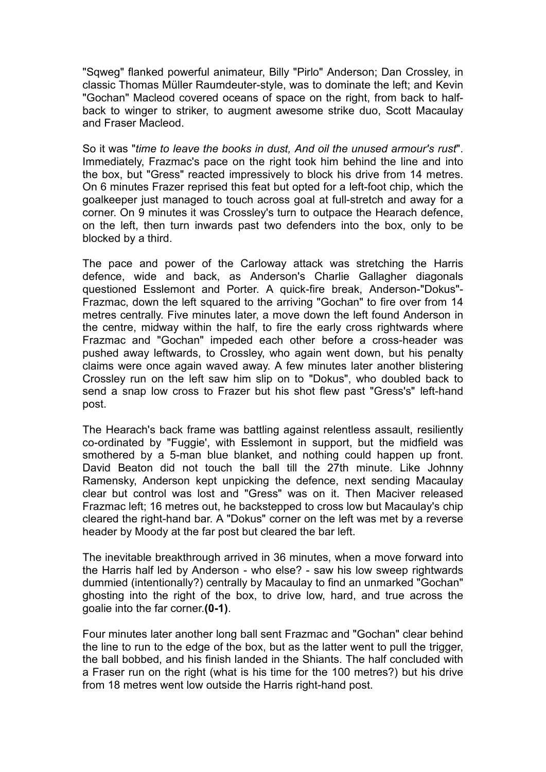"Sqweg" flanked powerful animateur, Billy "Pirlo" Anderson; Dan Crossley, in classic Thomas Müller Raumdeuter-style, was to dominate the left; and Kevin "Gochan" Macleod covered oceans of space on the right, from back to halfback to winger to striker, to augment awesome strike duo, Scott Macaulay and Fraser Macleod.

So it was "*time to leave the books in dust, And oil the unused armour's rust*". Immediately, Frazmac's pace on the right took him behind the line and into the box, but "Gress" reacted impressively to block his drive from 14 metres. On 6 minutes Frazer reprised this feat but opted for a left-foot chip, which the goalkeeper just managed to touch across goal at full-stretch and away for a corner. On 9 minutes it was Crossley's turn to outpace the Hearach defence, on the left, then turn inwards past two defenders into the box, only to be blocked by a third.

The pace and power of the Carloway attack was stretching the Harris defence, wide and back, as Anderson's Charlie Gallagher diagonals questioned Esslemont and Porter. A quick-fire break, Anderson-"Dokus"- Frazmac, down the left squared to the arriving "Gochan" to fire over from 14 metres centrally. Five minutes later, a move down the left found Anderson in the centre, midway within the half, to fire the early cross rightwards where Frazmac and "Gochan" impeded each other before a cross-header was pushed away leftwards, to Crossley, who again went down, but his penalty claims were once again waved away. A few minutes later another blistering Crossley run on the left saw him slip on to "Dokus", who doubled back to send a snap low cross to Frazer but his shot flew past "Gress's" left-hand post.

The Hearach's back frame was battling against relentless assault, resiliently co-ordinated by "Fuggie', with Esslemont in support, but the midfield was smothered by a 5-man blue blanket, and nothing could happen up front. David Beaton did not touch the ball till the 27th minute. Like Johnny Ramensky, Anderson kept unpicking the defence, next sending Macaulay clear but control was lost and "Gress" was on it. Then Maciver released Frazmac left; 16 metres out, he backstepped to cross low but Macaulay's chip cleared the right-hand bar. A "Dokus" corner on the left was met by a reverse header by Moody at the far post but cleared the bar left.

The inevitable breakthrough arrived in 36 minutes, when a move forward into the Harris half led by Anderson - who else? - saw his low sweep rightwards dummied (intentionally?) centrally by Macaulay to find an unmarked "Gochan" ghosting into the right of the box, to drive low, hard, and true across the goalie into the far corner.**(0-1)**.

Four minutes later another long ball sent Frazmac and "Gochan" clear behind the line to run to the edge of the box, but as the latter went to pull the trigger, the ball bobbed, and his finish landed in the Shiants. The half concluded with a Fraser run on the right (what is his time for the 100 metres?) but his drive from 18 metres went low outside the Harris right-hand post.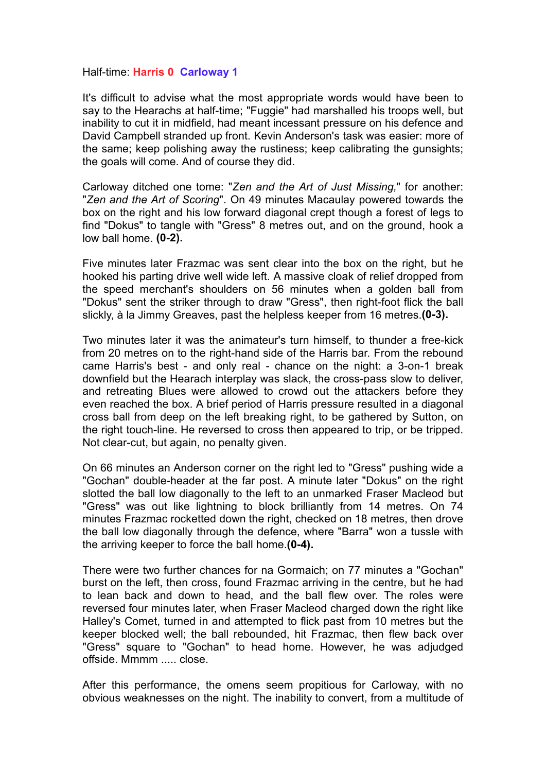## Half-time: **Harris 0 Carloway 1**

It's difficult to advise what the most appropriate words would have been to say to the Hearachs at half-time; "Fuggie" had marshalled his troops well, but inability to cut it in midfield, had meant incessant pressure on his defence and David Campbell stranded up front. Kevin Anderson's task was easier: more of the same; keep polishing away the rustiness; keep calibrating the gunsights; the goals will come. And of course they did.

Carloway ditched one tome: "*Zen and the Art of Just Missing,*" for another: "*Zen and the Art of Scoring*". On 49 minutes Macaulay powered towards the box on the right and his low forward diagonal crept though a forest of legs to find "Dokus" to tangle with "Gress" 8 metres out, and on the ground, hook a low ball home. **(0-2).**

Five minutes later Frazmac was sent clear into the box on the right, but he hooked his parting drive well wide left. A massive cloak of relief dropped from the speed merchant's shoulders on 56 minutes when a golden ball from "Dokus" sent the striker through to draw "Gress", then right-foot flick the ball slickly, à la Jimmy Greaves, past the helpless keeper from 16 metres.**(0-3).**

Two minutes later it was the animateur's turn himself, to thunder a free-kick from 20 metres on to the right-hand side of the Harris bar. From the rebound came Harris's best - and only real - chance on the night: a 3-on-1 break downfield but the Hearach interplay was slack, the cross-pass slow to deliver, and retreating Blues were allowed to crowd out the attackers before they even reached the box. A brief period of Harris pressure resulted in a diagonal cross ball from deep on the left breaking right, to be gathered by Sutton, on the right touch-line. He reversed to cross then appeared to trip, or be tripped. Not clear-cut, but again, no penalty given.

On 66 minutes an Anderson corner on the right led to "Gress" pushing wide a "Gochan" double-header at the far post. A minute later "Dokus" on the right slotted the ball low diagonally to the left to an unmarked Fraser Macleod but "Gress" was out like lightning to block brilliantly from 14 metres. On 74 minutes Frazmac rocketted down the right, checked on 18 metres, then drove the ball low diagonally through the defence, where "Barra" won a tussle with the arriving keeper to force the ball home.**(0-4).**

There were two further chances for na Gormaich; on 77 minutes a "Gochan" burst on the left, then cross, found Frazmac arriving in the centre, but he had to lean back and down to head, and the ball flew over. The roles were reversed four minutes later, when Fraser Macleod charged down the right like Halley's Comet, turned in and attempted to flick past from 10 metres but the keeper blocked well; the ball rebounded, hit Frazmac, then flew back over "Gress" square to "Gochan" to head home. However, he was adjudged offside. Mmmm ..... close.

After this performance, the omens seem propitious for Carloway, with no obvious weaknesses on the night. The inability to convert, from a multitude of